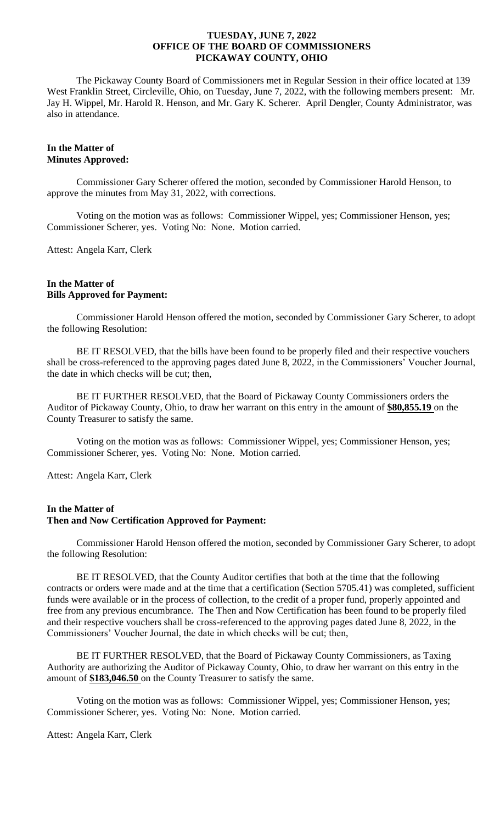The Pickaway County Board of Commissioners met in Regular Session in their office located at 139 West Franklin Street, Circleville, Ohio, on Tuesday, June 7, 2022, with the following members present: Mr. Jay H. Wippel, Mr. Harold R. Henson, and Mr. Gary K. Scherer. April Dengler, County Administrator, was also in attendance.

# **In the Matter of Minutes Approved:**

Commissioner Gary Scherer offered the motion, seconded by Commissioner Harold Henson, to approve the minutes from May 31, 2022, with corrections.

Voting on the motion was as follows: Commissioner Wippel, yes; Commissioner Henson, yes; Commissioner Scherer, yes. Voting No: None. Motion carried.

Attest: Angela Karr, Clerk

#### **In the Matter of Bills Approved for Payment:**

Commissioner Harold Henson offered the motion, seconded by Commissioner Gary Scherer, to adopt the following Resolution:

BE IT RESOLVED, that the bills have been found to be properly filed and their respective vouchers shall be cross-referenced to the approving pages dated June 8, 2022, in the Commissioners' Voucher Journal, the date in which checks will be cut; then,

BE IT FURTHER RESOLVED, that the Board of Pickaway County Commissioners orders the Auditor of Pickaway County, Ohio, to draw her warrant on this entry in the amount of **\$80,855.19** on the County Treasurer to satisfy the same.

Voting on the motion was as follows: Commissioner Wippel, yes; Commissioner Henson, yes; Commissioner Scherer, yes. Voting No: None. Motion carried.

Attest: Angela Karr, Clerk

# **In the Matter of Then and Now Certification Approved for Payment:**

Commissioner Harold Henson offered the motion, seconded by Commissioner Gary Scherer, to adopt the following Resolution:

BE IT RESOLVED, that the County Auditor certifies that both at the time that the following contracts or orders were made and at the time that a certification (Section 5705.41) was completed, sufficient funds were available or in the process of collection, to the credit of a proper fund, properly appointed and free from any previous encumbrance. The Then and Now Certification has been found to be properly filed and their respective vouchers shall be cross-referenced to the approving pages dated June 8, 2022, in the Commissioners' Voucher Journal, the date in which checks will be cut; then,

BE IT FURTHER RESOLVED, that the Board of Pickaway County Commissioners, as Taxing Authority are authorizing the Auditor of Pickaway County, Ohio, to draw her warrant on this entry in the amount of **\$183,046.50** on the County Treasurer to satisfy the same.

Voting on the motion was as follows: Commissioner Wippel, yes; Commissioner Henson, yes; Commissioner Scherer, yes. Voting No: None. Motion carried.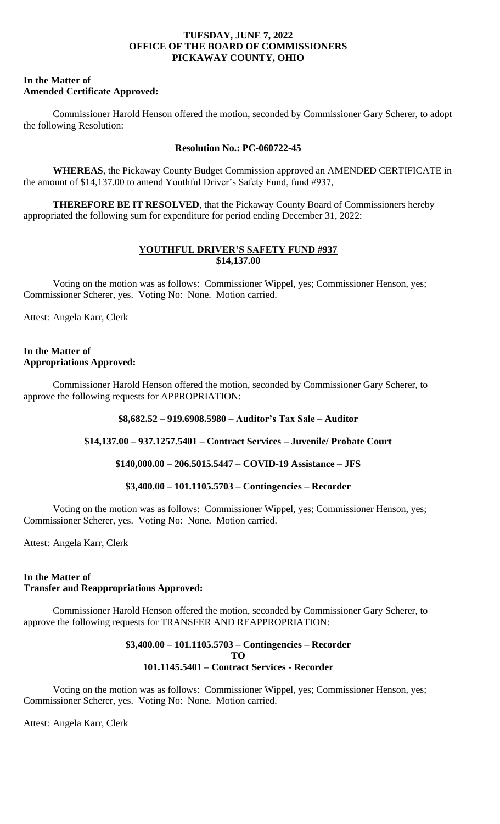### **In the Matter of Amended Certificate Approved:**

Commissioner Harold Henson offered the motion, seconded by Commissioner Gary Scherer, to adopt the following Resolution:

# **Resolution No.: PC-060722-45**

**WHEREAS**, the Pickaway County Budget Commission approved an AMENDED CERTIFICATE in the amount of \$14,137.00 to amend Youthful Driver's Safety Fund, fund #937,

**THEREFORE BE IT RESOLVED**, that the Pickaway County Board of Commissioners hereby appropriated the following sum for expenditure for period ending December 31, 2022:

# **YOUTHFUL DRIVER'S SAFETY FUND #937 \$14,137.00**

Voting on the motion was as follows: Commissioner Wippel, yes; Commissioner Henson, yes; Commissioner Scherer, yes. Voting No: None. Motion carried.

Attest: Angela Karr, Clerk

# **In the Matter of Appropriations Approved:**

Commissioner Harold Henson offered the motion, seconded by Commissioner Gary Scherer, to approve the following requests for APPROPRIATION:

# **\$8,682.52 – 919.6908.5980 – Auditor's Tax Sale – Auditor**

**\$14,137.00 – 937.1257.5401 – Contract Services – Juvenile/ Probate Court**

# **\$140,000.00 – 206.5015.5447 – COVID-19 Assistance – JFS**

# **\$3,400.00 – 101.1105.5703 – Contingencies – Recorder**

Voting on the motion was as follows: Commissioner Wippel, yes; Commissioner Henson, yes; Commissioner Scherer, yes. Voting No: None. Motion carried.

Attest: Angela Karr, Clerk

# **In the Matter of Transfer and Reappropriations Approved:**

Commissioner Harold Henson offered the motion, seconded by Commissioner Gary Scherer, to approve the following requests for TRANSFER AND REAPPROPRIATION:

### **\$3,400.00 – 101.1105.5703 – Contingencies – Recorder TO 101.1145.5401 – Contract Services - Recorder**

Voting on the motion was as follows: Commissioner Wippel, yes; Commissioner Henson, yes; Commissioner Scherer, yes. Voting No: None. Motion carried.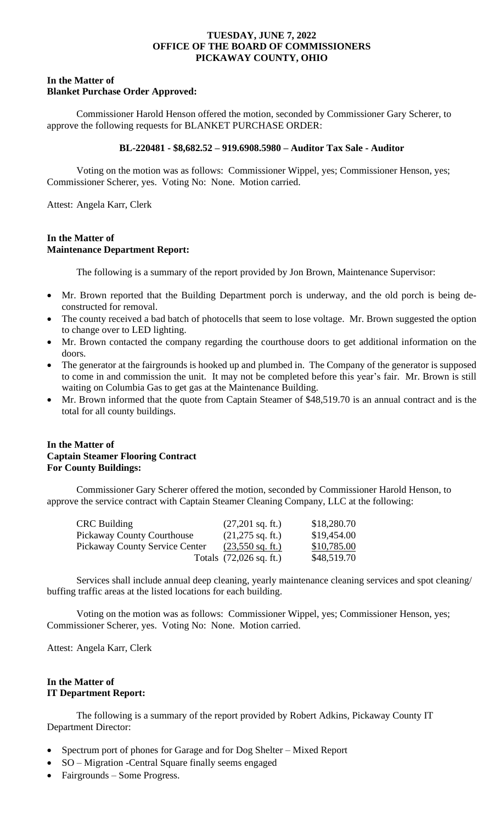# **In the Matter of Blanket Purchase Order Approved:**

Commissioner Harold Henson offered the motion, seconded by Commissioner Gary Scherer, to approve the following requests for BLANKET PURCHASE ORDER:

#### **BL-220481 - \$8,682.52 – 919.6908.5980 – Auditor Tax Sale - Auditor**

Voting on the motion was as follows: Commissioner Wippel, yes; Commissioner Henson, yes; Commissioner Scherer, yes. Voting No: None. Motion carried.

Attest: Angela Karr, Clerk

### **In the Matter of Maintenance Department Report:**

The following is a summary of the report provided by Jon Brown, Maintenance Supervisor:

- Mr. Brown reported that the Building Department porch is underway, and the old porch is being deconstructed for removal.
- The county received a bad batch of photocells that seem to lose voltage. Mr. Brown suggested the option to change over to LED lighting.
- Mr. Brown contacted the company regarding the courthouse doors to get additional information on the doors.
- The generator at the fairgrounds is hooked up and plumbed in. The Company of the generator is supposed to come in and commission the unit. It may not be completed before this year's fair. Mr. Brown is still waiting on Columbia Gas to get gas at the Maintenance Building.
- Mr. Brown informed that the quote from Captain Steamer of \$48,519.70 is an annual contract and is the total for all county buildings.

# **In the Matter of Captain Steamer Flooring Contract For County Buildings:**

Commissioner Gary Scherer offered the motion, seconded by Commissioner Harold Henson, to approve the service contract with Captain Steamer Cleaning Company, LLC at the following:

| <b>CRC Building</b>            | $(27,201$ sq. ft.)                | \$18,280.70 |
|--------------------------------|-----------------------------------|-------------|
| Pickaway County Courthouse     | $(21,275 \text{ sq. ft.})$        | \$19,454.00 |
| Pickaway County Service Center | $(23,550 \text{ sq. ft.})$        | \$10,785.00 |
|                                | Totals $(72,026 \text{ sq. ft.})$ | \$48,519.70 |

Services shall include annual deep cleaning, yearly maintenance cleaning services and spot cleaning/ buffing traffic areas at the listed locations for each building.

Voting on the motion was as follows: Commissioner Wippel, yes; Commissioner Henson, yes; Commissioner Scherer, yes. Voting No: None. Motion carried.

Attest: Angela Karr, Clerk

# **In the Matter of IT Department Report:**

The following is a summary of the report provided by Robert Adkins, Pickaway County IT Department Director:

- Spectrum port of phones for Garage and for Dog Shelter Mixed Report
- SO Migration Central Square finally seems engaged
- Fairgrounds Some Progress.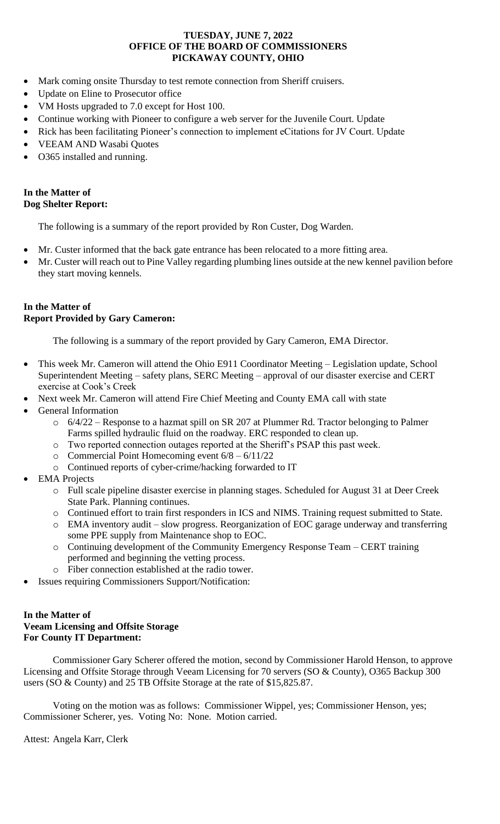- Mark coming onsite Thursday to test remote connection from Sheriff cruisers.
- Update on Eline to Prosecutor office
- VM Hosts upgraded to 7.0 except for Host 100.
- Continue working with Pioneer to configure a web server for the Juvenile Court. Update
- Rick has been facilitating Pioneer's connection to implement eCitations for JV Court. Update
- VEEAM AND Wasabi Quotes
- O365 installed and running.

# **In the Matter of Dog Shelter Report:**

The following is a summary of the report provided by Ron Custer, Dog Warden.

- Mr. Custer informed that the back gate entrance has been relocated to a more fitting area.
- Mr. Custer will reach out to Pine Valley regarding plumbing lines outside at the new kennel pavilion before they start moving kennels.

# **In the Matter of Report Provided by Gary Cameron:**

The following is a summary of the report provided by Gary Cameron, EMA Director.

- This week Mr. Cameron will attend the Ohio E911 Coordinator Meeting Legislation update, School Superintendent Meeting – safety plans, SERC Meeting – approval of our disaster exercise and CERT exercise at Cook's Creek
- Next week Mr. Cameron will attend Fire Chief Meeting and County EMA call with state
- General Information
	- $\circ$  6/4/22 Response to a hazmat spill on SR 207 at Plummer Rd. Tractor belonging to Palmer Farms spilled hydraulic fluid on the roadway. ERC responded to clean up.
	- o Two reported connection outages reported at the Sheriff's PSAP this past week.
	- $\circ$  Commercial Point Homecoming event  $6/8 6/11/22$
	- o Continued reports of cyber-crime/hacking forwarded to IT
- **EMA** Projects
	- o Full scale pipeline disaster exercise in planning stages. Scheduled for August 31 at Deer Creek State Park. Planning continues.
	- o Continued effort to train first responders in ICS and NIMS. Training request submitted to State.
	- o EMA inventory audit slow progress. Reorganization of EOC garage underway and transferring some PPE supply from Maintenance shop to EOC.
	- o Continuing development of the Community Emergency Response Team CERT training performed and beginning the vetting process.
	- o Fiber connection established at the radio tower.
- Issues requiring Commissioners Support/Notification:

# **In the Matter of Veeam Licensing and Offsite Storage For County IT Department:**

Commissioner Gary Scherer offered the motion, second by Commissioner Harold Henson, to approve Licensing and Offsite Storage through Veeam Licensing for 70 servers (SO & County), O365 Backup 300 users (SO & County) and 25 TB Offsite Storage at the rate of \$15,825.87.

Voting on the motion was as follows: Commissioner Wippel, yes; Commissioner Henson, yes; Commissioner Scherer, yes. Voting No: None. Motion carried.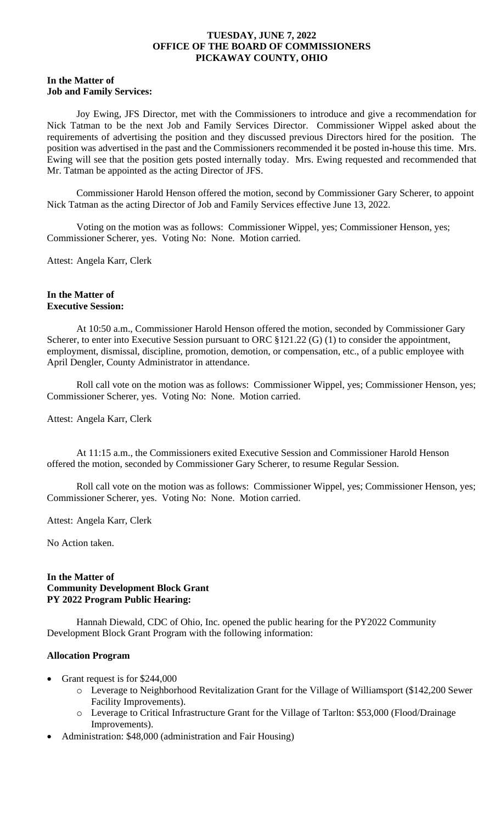#### **In the Matter of Job and Family Services:**

Joy Ewing, JFS Director, met with the Commissioners to introduce and give a recommendation for Nick Tatman to be the next Job and Family Services Director. Commissioner Wippel asked about the requirements of advertising the position and they discussed previous Directors hired for the position. The position was advertised in the past and the Commissioners recommended it be posted in-house this time. Mrs. Ewing will see that the position gets posted internally today. Mrs. Ewing requested and recommended that Mr. Tatman be appointed as the acting Director of JFS.

Commissioner Harold Henson offered the motion, second by Commissioner Gary Scherer, to appoint Nick Tatman as the acting Director of Job and Family Services effective June 13, 2022.

Voting on the motion was as follows: Commissioner Wippel, yes; Commissioner Henson, yes; Commissioner Scherer, yes. Voting No: None. Motion carried.

Attest: Angela Karr, Clerk

### **In the Matter of Executive Session:**

At 10:50 a.m., Commissioner Harold Henson offered the motion, seconded by Commissioner Gary Scherer, to enter into Executive Session pursuant to ORC  $$121.22$  (G) (1) to consider the appointment, employment, dismissal, discipline, promotion, demotion, or compensation, etc., of a public employee with April Dengler, County Administrator in attendance.

Roll call vote on the motion was as follows: Commissioner Wippel, yes; Commissioner Henson, yes; Commissioner Scherer, yes. Voting No: None. Motion carried.

Attest: Angela Karr, Clerk

At 11:15 a.m., the Commissioners exited Executive Session and Commissioner Harold Henson offered the motion, seconded by Commissioner Gary Scherer, to resume Regular Session.

Roll call vote on the motion was as follows: Commissioner Wippel, yes; Commissioner Henson, yes; Commissioner Scherer, yes. Voting No: None. Motion carried.

Attest: Angela Karr, Clerk

No Action taken.

### **In the Matter of Community Development Block Grant PY 2022 Program Public Hearing:**

Hannah Diewald, CDC of Ohio, Inc. opened the public hearing for the PY2022 Community Development Block Grant Program with the following information:

# **Allocation Program**

- Grant request is for \$244,000
	- o Leverage to Neighborhood Revitalization Grant for the Village of Williamsport (\$142,200 Sewer Facility Improvements).
	- o Leverage to Critical Infrastructure Grant for the Village of Tarlton: \$53,000 (Flood/Drainage Improvements).
- Administration: \$48,000 (administration and Fair Housing)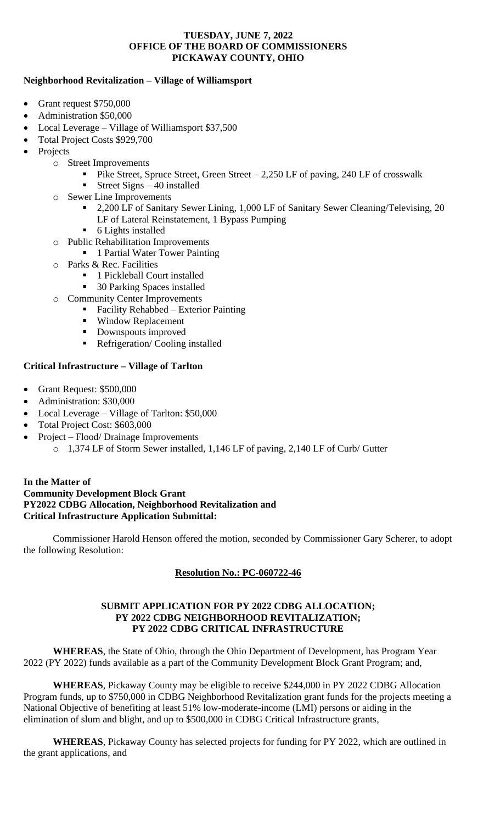# **Neighborhood Revitalization – Village of Williamsport**

- Grant request \$750,000
- Administration \$50,000
- Local Leverage Village of Williamsport \$37,500
- Total Project Costs \$929,700
- **Projects** 
	- o Street Improvements
		- **•** Pike Street, Spruce Street, Green Street 2,250 LF of paving, 240 LF of crosswalk
		- Street Signs  $-40$  installed
		- o Sewer Line Improvements
			- 2,200 LF of Sanitary Sewer Lining, 1,000 LF of Sanitary Sewer Cleaning/Televising, 20 LF of Lateral Reinstatement, 1 Bypass Pumping
			- 6 Lights installed
		- o Public Rehabilitation Improvements
			- 1 Partial Water Tower Painting
		- o Parks & Rec. Facilities
			- 1 Pickleball Court installed
			- 30 Parking Spaces installed
		- o Community Center Improvements
			- Facility Rehabbed Exterior Painting
			- Window Replacement
			- Downspouts improved
			- Refrigeration/ Cooling installed

# **Critical Infrastructure – Village of Tarlton**

- Grant Request: \$500,000
- Administration: \$30,000
- Local Leverage Village of Tarlton: \$50,000
- Total Project Cost: \$603,000
- Project Flood/ Drainage Improvements
	- o 1,374 LF of Storm Sewer installed, 1,146 LF of paving, 2,140 LF of Curb/ Gutter

# **In the Matter of Community Development Block Grant PY2022 CDBG Allocation, Neighborhood Revitalization and Critical Infrastructure Application Submittal:**

Commissioner Harold Henson offered the motion, seconded by Commissioner Gary Scherer, to adopt the following Resolution:

# **Resolution No.: PC-060722-46**

# **SUBMIT APPLICATION FOR PY 2022 CDBG ALLOCATION; PY 2022 CDBG NEIGHBORHOOD REVITALIZATION; PY 2022 CDBG CRITICAL INFRASTRUCTURE**

**WHEREAS**, the State of Ohio, through the Ohio Department of Development, has Program Year 2022 (PY 2022) funds available as a part of the Community Development Block Grant Program; and,

**WHEREAS**, Pickaway County may be eligible to receive \$244,000 in PY 2022 CDBG Allocation Program funds, up to \$750,000 in CDBG Neighborhood Revitalization grant funds for the projects meeting a National Objective of benefiting at least 51% low-moderate-income (LMI) persons or aiding in the elimination of slum and blight, and up to \$500,000 in CDBG Critical Infrastructure grants,

**WHEREAS**, Pickaway County has selected projects for funding for PY 2022, which are outlined in the grant applications, and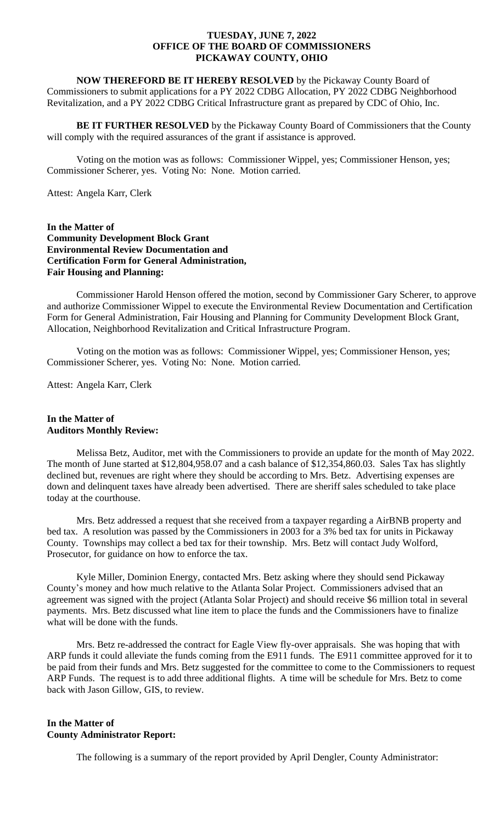**NOW THEREFORD BE IT HEREBY RESOLVED** by the Pickaway County Board of Commissioners to submit applications for a PY 2022 CDBG Allocation, PY 2022 CDBG Neighborhood Revitalization, and a PY 2022 CDBG Critical Infrastructure grant as prepared by CDC of Ohio, Inc.

**BE IT FURTHER RESOLVED** by the Pickaway County Board of Commissioners that the County will comply with the required assurances of the grant if assistance is approved.

Voting on the motion was as follows: Commissioner Wippel, yes; Commissioner Henson, yes; Commissioner Scherer, yes. Voting No: None. Motion carried.

Attest: Angela Karr, Clerk

**In the Matter of Community Development Block Grant Environmental Review Documentation and Certification Form for General Administration, Fair Housing and Planning:**

Commissioner Harold Henson offered the motion, second by Commissioner Gary Scherer, to approve and authorize Commissioner Wippel to execute the Environmental Review Documentation and Certification Form for General Administration, Fair Housing and Planning for Community Development Block Grant, Allocation, Neighborhood Revitalization and Critical Infrastructure Program.

Voting on the motion was as follows: Commissioner Wippel, yes; Commissioner Henson, yes; Commissioner Scherer, yes. Voting No: None. Motion carried.

Attest: Angela Karr, Clerk

#### **In the Matter of Auditors Monthly Review:**

Melissa Betz, Auditor, met with the Commissioners to provide an update for the month of May 2022. The month of June started at \$12,804,958.07 and a cash balance of \$12,354,860.03. Sales Tax has slightly declined but, revenues are right where they should be according to Mrs. Betz. Advertising expenses are down and delinquent taxes have already been advertised. There are sheriff sales scheduled to take place today at the courthouse.

Mrs. Betz addressed a request that she received from a taxpayer regarding a AirBNB property and bed tax. A resolution was passed by the Commissioners in 2003 for a 3% bed tax for units in Pickaway County. Townships may collect a bed tax for their township. Mrs. Betz will contact Judy Wolford, Prosecutor, for guidance on how to enforce the tax.

Kyle Miller, Dominion Energy, contacted Mrs. Betz asking where they should send Pickaway County's money and how much relative to the Atlanta Solar Project. Commissioners advised that an agreement was signed with the project (Atlanta Solar Project) and should receive \$6 million total in several payments. Mrs. Betz discussed what line item to place the funds and the Commissioners have to finalize what will be done with the funds.

Mrs. Betz re-addressed the contract for Eagle View fly-over appraisals. She was hoping that with ARP funds it could alleviate the funds coming from the E911 funds. The E911 committee approved for it to be paid from their funds and Mrs. Betz suggested for the committee to come to the Commissioners to request ARP Funds. The request is to add three additional flights. A time will be schedule for Mrs. Betz to come back with Jason Gillow, GIS, to review.

# **In the Matter of County Administrator Report:**

The following is a summary of the report provided by April Dengler, County Administrator: